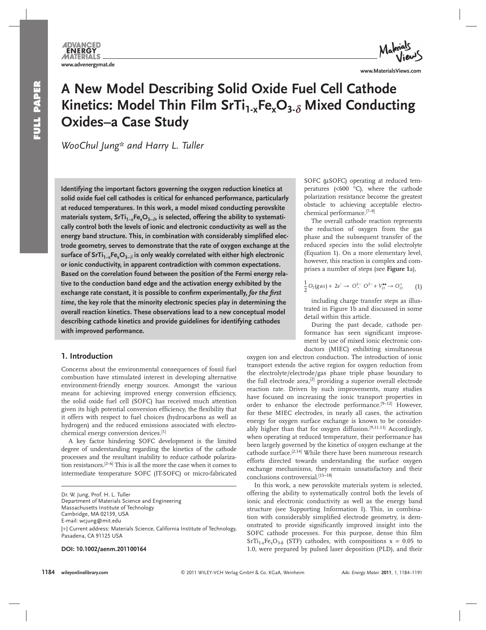# **A New Model Describing Solid Oxide Fuel Cell Cathode Kinetics: Model Thin Film SrTi<sub>1-x</sub> Fe<sub>x</sub>O<sub>3-δ</sub> Mixed Conducting Oxides–a Case Study**

*WooChul Jung\* and Harry L. Tuller* 

 **Identifying the important factors governing the oxygen reduction kinetics at solid oxide fuel cell cathodes is critical for enhanced performance, particularly at reduced temperatures. In this work, a model mixed conducting perovskite**  materials system, SrTi<sub>1-x</sub>Fe<sub>x</sub>O<sub>3- $\delta$ </sub>, is selected, offering the ability to systemati**cally control both the levels of ionic and electronic conductivity as well as the**  energy band structure. This, in combination with considerably simplified elec**trode geometry, serves to demonstrate that the rate of oxygen exchange at the**  surface of SrTi<sub>1-x</sub>Fe<sub>x</sub>O<sub>3-δ</sub> is only weakly correlated with either high electronic **or ionic conductivity, in apparent contradiction with common expectations. Based on the correlation found between the position of the Fermi energy relative to the conduction band edge and the activation energy exhibited by the**  exchange rate constant, it is possible to confirm experimentally, *for the first time* **, the key role that the minority electronic species play in determining the overall reaction kinetics. These observations lead to a new conceptual model describing cathode kinetics and provide guidelines for identifying cathodes with improved performance.** 

# **1. Introduction**

 Concerns about the environmental consequences of fossil fuel combustion have stimulated interest in developing alternative environment-friendly energy sources. Amongst the various means for achieving improved energy conversion efficiency, the solid oxide fuel cell (SOFC) has received much attention given its high potential conversion efficiency, the flexibility that it offers with respect to fuel choices (hydrocarbons as well as hydrogen) and the reduced emissions associated with electrochemical energy conversion devices. [1]

 A key factor hindering SOFC development is the limited degree of understanding regarding the kinetics of the cathode processes and the resultant inability to reduce cathode polarization resistances. [2–6] This is all the more the case when it comes to intermediate temperature SOFC (IT-SOFC) or micro-fabricated

 **DOI: 10.1002/aenm.201100164** 

SOFC (μSOFC) operating at reduced temperatures ( $<600$  °C), where the cathode polarization resistance become the greatest obstacle to achieving acceptable electrochemical performance.<sup>[7-9]</sup>

 The overall cathode reaction represents the reduction of oxygen from the gas phase and the subsequent transfer of the reduced species into the solid electrolyte (Equation 1). On a more elementary level, however, this reaction is complex and comprises a number of steps (see **Figure 1a**),

$$
\frac{1}{2}O_2(gas)+2e'\rightarrow O^{2-}_7O^{2-}+V_0^{\bullet\bullet}\rightarrow O^\times_O \qquad \textbf{(1)}
$$

 including charge transfer steps as illustrated in Figure 1b and discussed in some detail within this article.

 During the past decade, cathode performance has seen significant improvement by use of mixed ionic electronic conductors (MIEC) exhibiting simultaneous

oxygen ion and electron conduction. The introduction of ionic transport extends the active region for oxygen reduction from the electrolyte/electrode/gas phase triple phase boundary to the full electrode area,<sup>[2]</sup> providing a superior overall electrode reaction rate. Driven by such improvements, many studies have focused on increasing the ionic transport properties in order to enhance the electrode performance.<sup>[9-12]</sup> However, for these MIEC electrodes, in nearly all cases, the activation energy for oxygen surface exchange is known to be considerably higher than that for oxygen diffusion.<sup>[9,11,13]</sup> Accordingly, when operating at reduced temperature, their performance has been largely governed by the kinetics of oxygen exchange at the cathode surface.<sup>[2,14]</sup> While there have been numerous research efforts directed towards understanding the surface oxygen exchange mechanisms, they remain unsatisfactory and their conclusions controversial.[15-18]

 In this work, a new perovskite materials system is selected, offering the ability to systematically control both the levels of ionic and electronic conductivity as well as the energy band structure (see Supporting Information I). This, in combination with considerably simplified electrode geometry, is demonstrated to provide significantly improved insight into the SOFC cathode processes. For this purpose, dense thin film  $STT_{1-x}Fe_xO_{3-δ}$  (STF) cathodes, with compositions x = 0.05 to 1.0, were prepared by pulsed laser deposition (PLD), and their

Dr. W. Jung, Prof. H. L. Tuller Department of Materials Science and Engineering Massachusetts Institute of Technology Cambridge, MA 02139, USA E-mail: wcjung@mit.edu [+] Current address: Materials Science, California Institute of Technology, Pasadena, CA 91125 USA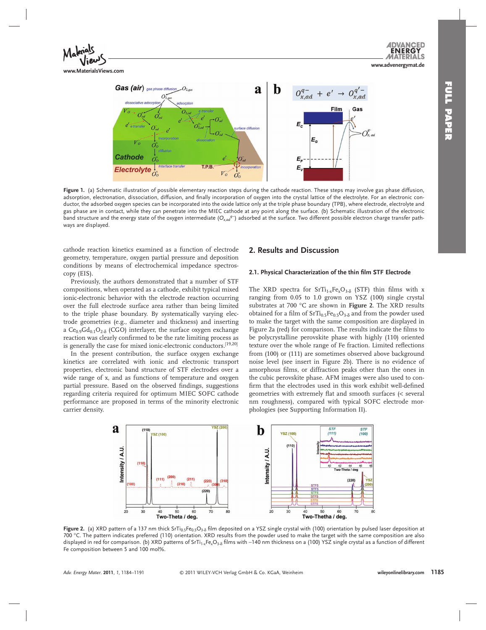

**Gas (air)** gas phase diffusion Я  $O_{x,ad}^{q-} + e' \rightarrow O_{x,ad}^{q'-}$ h  $\sqrt{2}$ Film Gas  $E_{c}$ e diffus  $O_{x,ac}^{q}$  $E_{c}$ **Cathode** E. E **Electrolyte**  $V_o^{\cdot\cdot}$  $O_0^*$ 

Figure 1. (a) Schematic illustration of possible elementary reaction steps during the cathode reaction. These steps may involve gas phase diffusion, adsorption, electronation, dissociation, diffusion, and finally incorporation of oxygen into the crystal lattice of the electrolyte. For an electronic conductor, the adsorbed oxygen species can be incorporated into the oxide lattice only at the triple phase boundary (TPB), where electrode, electrolyte and gas phase are in contact, while they can penetrate into the MIEC cathode at any point along the surface. (b) Schematic illustration of the electronic band structure and the energy state of the oxygen intermediate (O<sub>x,ad</sub><sup>q−</sup>) adsorbed at the surface. Two different possible electron charge transfer pathways are displayed.

cathode reaction kinetics examined as a function of electrode geometry, temperature, oxygen partial pressure and deposition conditions by means of electrochemical impedance spectroscopy (EIS).

 Previously, the authors demonstrated that a number of STF compositions, when operated as a cathode, exhibit typical mixed ionic-electronic behavior with the electrode reaction occurring over the full electrode surface area rather than being limited to the triple phase boundary. By systematically varying electrode geometries (e.g., diameter and thickness) and inserting a  $Ce<sub>0.9</sub>Gd<sub>0.1</sub>O<sub>2-δ</sub>$  (CGO) interlayer, the surface oxygen exchange reaction was clearly confirmed to be the rate limiting process as is generally the case for mixed ionic-electronic conductors.<sup>[19,20]</sup>

 In the present contribution, the surface oxygen exchange kinetics are correlated with ionic and electronic transport properties, electronic band structure of STF electrodes over a wide range of x, and as functions of temperature and oxygen partial pressure. Based on the observed findings, suggestions regarding criteria required for optimum MIEC SOFC cathode performance are proposed in terms of the minority electronic carrier density.

# **2. Results and Discussion**

## **2.1. Physical Characterization of the thin film STF Electrode**

The XRD spectra for  $STi_{1,x}Fe_{y}O_{3,8}$  (STF) thin films with x ranging from 0.05 to 1.0 grown on YSZ (100) single crystal substrates at 700 °C are shown in Figure 2. The XRD results obtained for a film of  $SrTi_{0.5}Fe_{0.5}O_{3.8}$  and from the powder used to make the target with the same composition are displayed in Figure 2a (red) for comparison. The results indicate the films to be polycrystalline perovskite phase with highly (110) oriented texture over the whole range of Fe fraction. Limited reflections from (100) or (111) are sometimes observed above background noise level (see insert in Figure 2b). There is no evidence of amorphous films, or diffraction peaks other than the ones in the cubic perovskite phase. AFM images were also used to confirm that the electrodes used in this work exhibit well-defined geometries with extremely flat and smooth surfaces (< several nm roughness), compared with typical SOFC electrode morphologies (see Supporting Information II).



Figure 2. (a) XRD pattern of a 137 nm thick SrTi<sub>0.5</sub>Fe<sub>0.5</sub>O<sub>3-8</sub> film deposited on a YSZ single crystal with (100) orientation by pulsed laser deposition at 700 °C. The pattern indicates preferred (110) orientation. XRD results from the powder used to make the target with the same composition are also displayed in red for comparison. (b) XRD patterns of SrTi<sub>1×</sub>Fe<sub>x</sub>O<sub>3-Õ</sub> films with ~140 nm thickness on a (100) YSZ single crystal as a function of different Fe composition between 5 and 100 mol%.

**www.advenergymat.de**

**ENERG** 

 $\epsilon$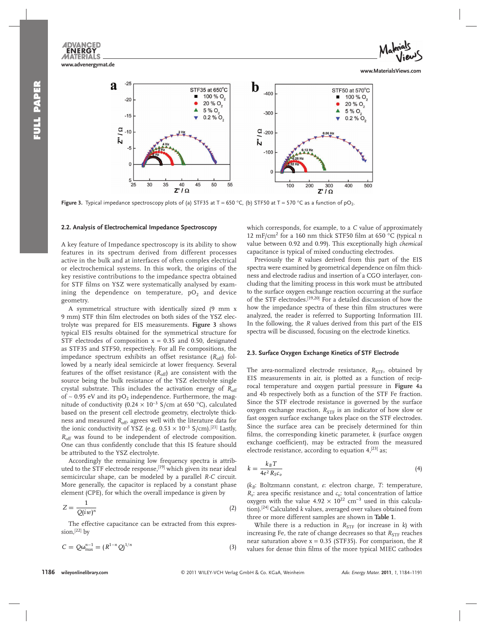**ENERGY** MATERIALS **www.advenergymat.de**



**www.MaterialsViews.com**



**Figure 3.** Typical impedance spectroscopy plots of (a) STF35 at T = 650 °C, (b) STF50 at T = 570 °C as a function of pO<sub>2</sub>.

## **2.2. Analysis of Electrochemical Impedance Spectroscopy**

 A key feature of Impedance spectroscopy is its ability to show features in its spectrum derived from different processes active in the bulk and at interfaces of often complex electrical or electrochemical systems. In this work, the origins of the key resistive contributions to the impedance spectra obtained for STF films on YSZ were systematically analysed by examining the dependence on temperature,  $pO_2$  and device geometry.

 A symmetrical structure with identically sized (9 mm x 9 mm) STF thin film electrodes on both sides of the YSZ electrolyte was prepared for EIS measurements. **Figure 3** shows typical EIS results obtained for the symmetrical structure for STF electrodes of composition  $x = 0.35$  and 0.50, designated as STF35 and STF50, respectively. For all Fe compositions, the impedance spectrum exhibits an offset resistance  $(R_{\text{off}})$  followed by a nearly ideal semicircle at lower frequency. Several features of the offset resistance  $(R_{\text{off}})$  are consistent with the source being the bulk resistance of the YSZ electrolyte single crystal substrate. This includes the activation energy of  $R<sub>off</sub>$ of ~ 0.95 eV and its pO<sub>2</sub> independence. Furthermore, the magnitude of conductivity (0.24 × 10<sup>-3</sup> S/cm at 650 °C), calculated based on the present cell electrode geometry, electrolyte thickness and measured *R*<sub>off</sub>, agrees well with the literature data for the ionic conductivity of YSZ (e.g.  $0.53 \times 10^{-3}$  S/cm).<sup>[21]</sup> Lastly, *R*<sub>off</sub> was found to be independent of electrode composition. One can thus confidently conclude that this IS feature should be attributed to the YSZ electrolyte.

 Accordingly the remaining low frequency spectra is attributed to the STF electrode response, [19] which given its near ideal semicircular shape, can be modeled by a parallel *R-C* circuit. More generally, the capacitor is replaced by a constant phase element (CPE), for which the overall impedance is given by

$$
Z = \frac{1}{Q(iw)^n} \tag{2}
$$

 The effective capacitance can be extracted from this expression, [22] by

$$
C = Q\omega_{\text{max}}^{n-1} = (R^{1-n}Q)^{1/n}
$$
 (3)

which corresponds, for example, to a *C* value of approximately 12 mF/cm<sup>2</sup> for a 160 nm thick STF50 film at 650 °C (typical n value between 0.92 and 0.99). This exceptionally high *chemical* capacitance is typical of mixed conducting electrodes.

 Previously the *R* values derived from this part of the EIS spectra were examined by geometrical dependence on film thickness and electrode radius and insertion of a CGO interlayer, concluding that the limiting process in this work must be attributed to the surface oxygen exchange reaction occurring at the surface of the STF electrodes.<sup>[19,20]</sup> For a detailed discussion of how the how the impedance spectra of these thin film structures were analyzed, the reader is referred to Supporting Information III. In the following, the *R* values derived from this part of the EIS spectra will be discussed, focusing on the electrode kinetics.

## **2.3. Surface Oxygen Exchange Kinetics of STF Electrode**

The area-normalized electrode resistance,  $R_{\text{STF}}$ , obtained by EIS measurements in air, is plotted as a function of reciprocal temperature and oxygen partial pressure in **Figure 4** a and 4b respectively both as a function of the STF Fe fraction. Since the STF electrode resistance is governed by the surface oxygen exchange reaction,  $R_{STF}$  is an indicator of how slow or fast oxygen surface exchange takes place on the STF electrodes. Since the surface area can be precisely determined for thin films, the corresponding kinetic parameter,  $k$  (surface oxygen exchange coefficient), may be extracted from the measured electrode resistance, according to equation  $4,$ [23] as;

$$
k = \frac{k_B T}{4e^2 R_S c_o} \tag{4}
$$

( $k_B$ : Boltzmann constant, *e*: electron charge, *T*: temperature,  $R_s$ : area specific resistance and  $c_0$ : total concentration of lattice oxygen with the value  $4.92 \times 10^{22}$  cm<sup>-3</sup> used in this calculation). [24] Calculated *k* values, averaged over values obtained from three or more different samples are shown in **Table 1** .

While there is a reduction in  $R_{STF}$  (or increase in  $k$ ) with increasing Fe, the rate of change decreases so that  $R_{\text{STF}}$  reaches near saturation above x = 0.35 (STF35). For comparison, the *R* values for dense thin films of the more typical MIEC cathodes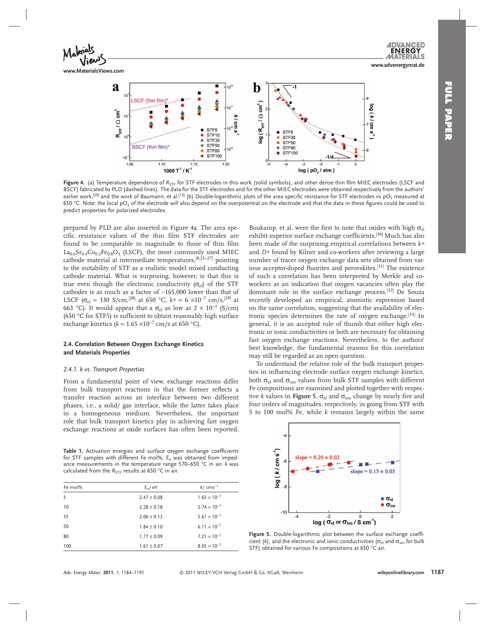

**www.MaterialsViews.com**



Figure 4. (a) Temperature dependence of R<sub>STF</sub> for STF electrodes in this work (solid symbols), and other dense thin film MIEC electrodes (LSCF and BSCF) fabricated by PLD (dashed lines). The data for the STF electrodes and for the other MIEC electrodes were obtained respectively from the authors' earlier work,<sup>[20]</sup> and the work of Baumann, et al.<sup>[13]</sup> (b) Double-logarithmic plots of the area specific resistance for STF electrodes vs pO<sub>2</sub> measured at 650 °C. Note: the local pO<sub>2</sub> of the electrode will also depend on the overpotential on the electrode and that the data in these figures could be used to predict properties for polarized electrodes.

prepared by PLD are also inserted in Figure 4a. The area specific resistance values of the thin film STF electrodes are found to be comparable in magnitude to those of thin film  $La<sub>0.6</sub>Sr<sub>0.4</sub>Co<sub>0.2</sub>Fe<sub>0.8</sub>O<sub>3</sub>$  (LSCF), the most commonly used MIEC cathode material at intermediate temperatures, [8,25–27] pointing to the suitability of STF as a realistic model mixed conducting cathode material. What is surprising, however, is that this is true even though the electronic conductivity  $(\sigma_{el})$  of the STF cathodes is as much as a factor of ∼ 165,000 lower than that of LSCF ( $\sigma_{el}$  = 330 S/cm,<sup>[28]</sup> at 650 °C,  $k* = 6 \times 10^{-7}$  cm/s,<sup>[29]</sup> at 663 °C). It would appear that a  $\sigma_{el}$  as low as 2 × 10<sup>-3</sup> (S/cm) (650 °C for STF5) is sufficient to obtain reasonably high surface exchange kinetics ( $k = 1.65 \times 10^{-7}$  cm/s at 650 °C).

## **2.4. Correlation Between Oxygen Exchange Kinetics and Materials Properties**

## *2.4.1. k vs. Transport Properties*

 From a fundamental point of view, exchange reactions differ from bulk transport reactions in that the former reflects a transfer reaction across an interface between two different phases, i.e., a solid/ gas interface, while the latter takes place in a homogeneous medium. Nevertheless, the important role that bulk transport kinetics play in achieving fast oxygen exchange reactions at oxide surfaces has often been reported.

Table 1. Activation energies and surface oxygen exchange coefficients for STF samples with different Fe mol%.  $E_a$  was obtained from impedance measurements in the temperature range 570–650 °C in air. *k* was calculated from the  $R_{STF}$  results at 650 °C in air.

| Fe mol% | $E_a/eV$        | $k/cms^{-1}$          |
|---------|-----------------|-----------------------|
| 5       | $2.47 \pm 0.08$ | $1.65 \times 10^{-7}$ |
| 10      | $2.28 \pm 0.18$ | $2.74 \times 10^{-7}$ |
| 35      | $2.06 \pm 0.13$ | $5.61 \times 10^{-7}$ |
| 50      | $1.84 \pm 0.10$ | $6.11 \times 10^{-7}$ |
| 80      | $1.77 \pm 0.09$ | $7.21 \times 10^{-7}$ |
| 100     | $1.61 \pm 0.07$ | $8.05 \times 10^{-7}$ |

Boukamp, et al. were the first to note that oxides with high  $\sigma_{el}$ exhibit superior surface exchange coefficients.<sup>[30]</sup> Much has also been made of the surprising empirical correlations between  $k*$ and *D*<sup>\*</sup> found by Kilner and co-workers after reviewing a large number of tracer oxygen exchange data sets obtained from various acceptor-doped fluorites and perovskites.<sup>[31]</sup> The existence of such a correlation has been interpreted by Merkle and coworkers as an indication that oxygen vacancies often play the dominant role in the surface exchange process.<sup>[32]</sup> De Souza recently developed an empirical, atomistic expression based on the same correlation, suggesting that the availability of electronic species determines the rate of oxygen exchange.<sup>[33]</sup> In general, it is an accepted rule of thumb that either high electronic or ionic conductivities or both are necessary for obtaining

fast oxygen exchange reactions. Nevertheless, to the authors' best knowledge, the fundamental reasons for this correlation may still be regarded as an open question. To understand the relative role of the bulk transport proper-

ties in influencing electrode surface oxygen exchange kinetics, both  $\sigma_{el}$  and  $\sigma_{ion}$  values from bulk STF samples with different Fe compositions are examined and plotted together with respective *k* values in **Figure 5**,  $\sigma_{el}$  and  $\sigma_{ion}$  change by nearly five and four orders of magnitudes, respectively, in going from STF with 5 to 100 mol% Fe, while *k* remains largely within the same



Figure 5. Double-logarithmic plot between the surface exchange coefficient ( $k$ ), and the electronic and ionic conductivities ( $\sigma_{el}$  and  $\sigma_{ion}$  for bulk STF) obtained for various Fe compositions at 650 °C air.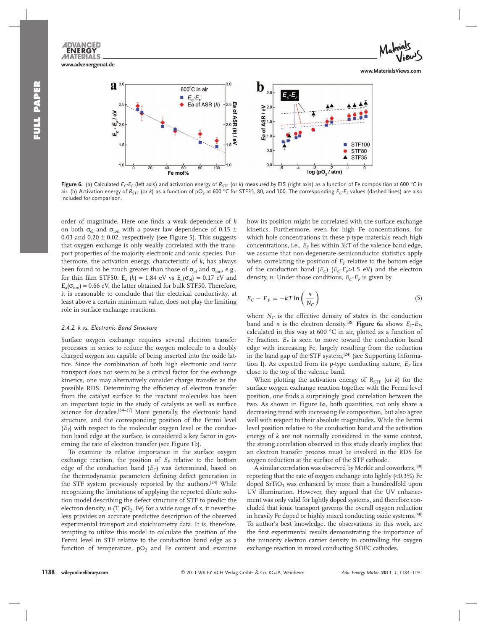**www.advenergymat.de**

**ENERG MATERIALS** 



**www.MaterialsViews.com**



Figure 6. (a) Calculated *E<sub>C</sub>·E<sub>F</sub>* (left axis) and activation energy of *R*<sub>STF</sub> (or *k*) measured by EIS (right axis) as a function of Fe composition at 600 °C in air. (b) Activation energy of  $R_{\text{STF}}$  (or *k*) as a function of pO<sub>2</sub> at 600 °C for STF35, 80, and 100. The corresponding  $E_C$  *E<sub>F</sub>* values (dashed lines) are also included for comparison.

order of magnitude. Here one finds a weak dependence of  $k$ on both  $\sigma_{el}$  and  $\sigma_{ion}$  with a power law dependence of 0.15  $\pm$ 0.03 and 0.20  $\pm$  0.02, respectively (see Figure 5). This suggests that oxygen exchange is only weakly correlated with the transport properties of the majority electronic and ionic species. Furthermore, the activation energy, characteristic of *k,* has always been found to be much greater than those of  $\sigma_{el}$  and  $\sigma_{ion}$ , e.g., for thin film STF50: E<sub>a</sub> (k) = 1.84 eV vs E<sub>a</sub>( $\sigma_{el}$ ) = 0.17 eV and  $E_a(\sigma_{ion}) = 0.66$  eV, the latter obtained for bulk STF50. Therefore, it is reasonable to conclude that the electrical conductivity, at least above a certain minimum value, does not play the limiting role in surface exchange reactions.

## *2.4.2. k vs. Electronic Band Structure*

 Surface oxygen exchange requires several electron transfer processes in series to reduce the oxygen molecule to a doubly charged oxygen ion capable of being inserted into the oxide lattice. Since the combination of both high electronic and ionic transport does not seem to be a critical factor for the exchange kinetics, one may alternatively consider charge transfer as the possible RDS. Determining the efficiency of electron transfer from the catalyst surface to the reactant molecules has been an important topic in the study of catalysts as well as surface science for decades.<sup>[34-37]</sup> More generally, the electronic band structure, and the corresponding position of the Fermi level  $(E_F)$  with respect to the molecular oxygen level or the conduction band edge at the surface, is considered a key factor in governing the rate of electron transfer (see Figure 1b).

 To examine its relative importance in the surface oxygen exchange reaction, the position of  $E_F$  relative to the bottom edge of the conduction band  $(E_C)$  was determined, based on the thermodynamic parameters defining defect generation in the STF system previously reported by the authors.<sup>[24]</sup> While recognizing the limitations of applying the reported dilute solution model describing the defect structure of STF to predict the electron density,  $n$  (T, pO<sub>2</sub>, Fe) for a wide range of x, it nevertheless provides an accurate predictive description of the observed experimental transport and stoichiometry data. It is, therefore, tempting to utilize this model to calculate the position of the Fermi level in STF relative to the conduction band edge as a function of temperature,  $pO_2$  and Fe content and examine

how its position might be correlated with the surface exchange kinetics. Furthermore, even for high Fe concentrations, for which hole concentrations in these p-type materials reach high concentrations, i.e.,  $E_F$  lies within  $3kT$  of the valence band edge, we assume that non-degenerate semiconductor statistics apply when correlating the position of  $E_F$  relative to the bottom edge of the conduction band  $(E_C)$   $(E_C - E_F > 1.5$  eV) and the electron density, *n*. Under those conditions,  $E_C$   $E_F$  is given by

$$
E_C - E_F = -kT \ln\left(\frac{n}{N_C}\right) \tag{5}
$$

where  $N_C$  is the effective density of states in the conduction band and *n* is the electron density.<sup>[38]</sup> Figure 6a shows  $E_C$ - $E_F$ , calculated in this way at 600  $^{\circ}$ C in air, plotted as a function of Fe fraction.  $E_F$  is seen to move toward the conduction band edge with increasing Fe, largely resulting from the reduction in the band gap of the STF system,<sup>[24]</sup> (see Supporting Information I). As expected from its p-type conducting nature,  $E_F$  lies close to the top of the valence band.

When plotting the activation energy of  $R_{STF}$  (or  $k$ ) for the surface oxygen exchange reaction together with the Fermi level position, one finds a surprisingly good correlation between the two. As shown in Figure 6a, both quantities, not only share a decreasing trend with increasing Fe composition, but also agree well with respect to their absolute magnitudes. While the Fermi level position relative to the conduction band and the activation energy of *k* are not normally considered in the same context, the strong correlation observed in this study clearly implies that an electron transfer process must be involved in the RDS for oxygen reduction at the surface of the STF cathode.

A similar correlation was observed by Merkle and coworkers, [39] reporting that the rate of oxygen exchange into lightly  $(<0.3\%)$  Fe doped  $SrTiO<sub>3</sub>$  was enhanced by more than a hundredfold upon UV illumination. However, they argued that the UV enhancement was only valid for lightly doped systems, and therefore concluded that ionic transport governs the overall oxygen reduction in heavily Fe doped or highly mixed conducting oxide systems.<sup>[40]</sup> To author's best knowledge, the observations in this work, are the first experimental results demonstrating the importance of the minority electron carrier density in controlling the oxygen exchange reaction in mixed conducting SOFC cathodes.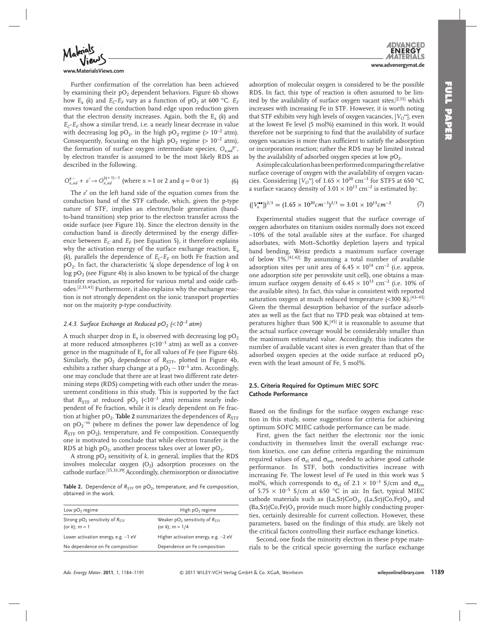

#### **www.MaterialsViews.com**

Further confirmation of the correlation has been achieved by examining their  $pO_2$  dependent behaviors. Figure 6b shows how E<sub>a</sub> (*k*) and  $E_C$ - $E_F$  vary as a function of pO<sub>2</sub> at 600 °C.  $E_F$ moves toward the conduction band edge upon reduction given that the electron density increases. Again, both the  $E_a$  ( $k$ ) and  $E_C - E_F$  show a similar trend, i.e. a nearly linear decrease in value with decreasing log pO<sub>2</sub>, in the high pO<sub>2</sub> regime (>  $10^{-2}$  atm). Consequently, focusing on the high  $pO_2$  regime (>  $10^{-2}$  atm), the formation of surface oxygen intermediate species,  $O_{x, ad}$ <sup>*q*−</sup>, by electron transfer is assumed to be the most likely RDS as described in the following.

$$
O_{x,ad}^{q-} + e' \to O_{x,ad}^{(q+1)-1}
$$
 (where  $x = 1$  or 2 and  $q = 0$  or 1) (6)

The *e'* on the left hand side of the equation comes from the conduction band of the STF cathode, which, given the p-type nature of STF, implies an electron/hole generation (bandto-band transition) step prior to the electron transfer across the oxide surface (see Figure 1b). Since the electron density in the conduction band is directly determined by the energy difference between  $E_C$  and  $E_F$  (see Equation 5), it therefore explains why the activation energy of the surface exchange reaction,  $E_a$  $(k)$ , parallels the dependence of  $E_C$ - $E_F$  on both Fe fraction and  $pO_2$ . In fact, the characteristic  $\frac{1}{4}$  slope dependence of log k on  $log pO<sub>2</sub>$  (see Figure 4b) is also known to be typical of the charge transfer reaction, as reported for various metal and oxide cathodes.<sup>[2,33,41]</sup> Furthermore, it also explains why the exchange reaction is not strongly dependent on the ionic transport properties nor on the majority p-type conductivity.

## *2.4.3. Surface Exchange at Reduced pO<sub>2</sub> (<10<sup>−3</sup> atm)*

A much sharper drop in  $E_a$  is observed with decreasing log  $pO_2$ at more reduced atmospheres ( $\text{<} 10^{-3}$  atm) as well as a convergence in the magnitude of  $E_a$  for all values of Fe (see Figure 6b). Similarly, the  $pO_2$  dependence of  $R_{STF}$ , plotted in Figure 4b, exhibits a rather sharp change at a  $pO_2 \sim 10^{-3}$  atm. Accordingly, one may conclude that there are at least two different rate determining steps (RDS) competing with each other under the measurement conditions in this study. This is supported by the fact that  $R_{STF}$  at reduced pO<sub>2</sub> (<10<sup>-3</sup> atm) remains nearly independent of Fe fraction, while it is clearly dependent on Fe fraction at higher  $pO_2$ . **Table 2** summarizes the dependences of  $R_{STF}$ on  $pO_2$ <sup>-m</sup> (where m defines the power law dependence of log  $R<sub>STE</sub>$  on pO<sub>2</sub>), temperature, and Fe composition. Consequently one is motivated to conclude that while electron transfer is the RDS at high  $pO_2$ , another process takes over at lower  $pO_2$ .

A strong pO<sub>2</sub> sensitivity of *k*, in general, implies that the RDS involves molecular oxygen  $(O_2)$  adsorption processes on the cathode surface.<sup>[15,33,39]</sup> Accordingly, chemisorption or dissociative

**Table 2.** Dependence of  $R_{STF}$  on pO<sub>2</sub>, temperature, and Fe composition, obtained in the work.

| High $pO2$ regime<br>Weaker $pO_2$ sensitivity of $R_{\text{STF}}$<br>(or k); $m = 1/4$<br>Higher activation energy, e.g. ~2 eV<br>Dependence on Fe composition |                                                           |  |
|-----------------------------------------------------------------------------------------------------------------------------------------------------------------|-----------------------------------------------------------|--|
|                                                                                                                                                                 | Low $pO2$ regime                                          |  |
|                                                                                                                                                                 | Strong $pO_2$ sensitivity of $R_{STF}$<br>(or k); $m = 1$ |  |
|                                                                                                                                                                 | Lower activation energy, e.g. $\sim$ 1 eV                 |  |
|                                                                                                                                                                 | No dependence on Fe composition                           |  |

**ENERG www.advenergymat.de**

adsorption of molecular oxygen is considered to be the possible RDS. In fact, this type of reaction is often assumed to be limited by the availability of surface oxygen vacant sites,  $[2,15]$  which increases with increasing Fe in STF. However, it is worth noting that STF exhibits very high levels of oxygen vacancies, [V<sub>O</sub>"], even at the lowest Fe level (5 mol%) examined in this work. It would therefore not be surprising to find that the availability of surface oxygen vacancies is more than sufficient to satisfy the adsorption or incorporation reaction; rather the RDS may be limited instead by the availability of adsorbed oxygen species at low  $pO<sub>2</sub>$ .

 A simple calculation has been performed comparing the relative surface coverage of oxygen with the availability of oxygen vacancies. Considering [ $V_O$ <sup>\*</sup>] of 1.65 × 10<sup>20</sup> cm<sup>-3</sup> for STF5 at 650 °C, a surface vacancy density of  $3.01 \times 10^{13}$  cm<sup>-2</sup> is estimated by:

$$
([V_o^{\bullet\bullet}])^{2/3} = (1.65 \times 10^{20} \text{cm}^{-3})^{2/3} = 3.01 \times 10^{13} \text{cm}^{-2} \tag{7}
$$

 Experimental studies suggest that the surface coverage of oxygen adsorbates on titanium oxides normally does not exceed ∼ 10% of the total available sites at the surface. For charged adsorbates, with Mott–Schottky depletion layers and typical band bending, Weisz predicts a maximum surface coverage of below 1%.<sup>[41,42]</sup> By assuming a total number of available adsorption sites per unit area of  $6.45 \times 10^{14}$  cm<sup>-2</sup> (i.e. approx. one adsorption site per perovskite unit cell), one obtains a maximum surface oxygen density of  $6.45 \times 10^{13}$  cm<sup>-2</sup> (i.e. 10% of the available sites). In fact, this value is consistent with reported saturation oxygen at much reduced temperature  $(<$ 300 K).<sup>[43-45]</sup> Given the thermal desorption behavior of the surface adsorbates as well as the fact that no TPD peak was obtained at temperatures higher than 500 K, $^{[45]}$  it is reasonable to assume that the actual surface coverage would be considerably smaller than the maximum estimated value. Accordingly, this indicates the number of available vacant sites is even greater than that of the adsorbed oxygen species at the oxide surface at reduced  $pO<sub>2</sub>$ even with the least amount of Fe, 5 mol%.

# **2.5. Criteria Required for Optimum MIEC SOFC Cathode Performance**

Based on the findings for the surface oxygen exchange reaction in this study, some suggestions for criteria for achieving optimum SOFC MIEC cathode performance can be made.

 First, given the fact neither the electronic nor the ionic conductivity in themselves limit the overall exchange reaction kinetics, one can define criteria regarding the minimum required values of  $\sigma_{el}$  and  $\sigma_{ion}$  needed to achieve good cathode performance. In STF, both conductivities increase with increasing Fe. The lowest level of Fe used in this work was 5 mol%, which corresponds to  $\sigma_{el}$  of 2.1 × 10<sup>-3</sup> S/cm and  $\sigma_{ion}$ of 5.75  $\times$  10<sup>-5</sup> S/cm at 650 °C in air. In fact, typical MIEC cathode materials such as  $(La, Sr)CoO<sub>3</sub>$ ,  $(La, Sr)(Co, Fe)O<sub>3</sub>$ , and  $(Ba, Sr)(Co, Fe)O<sub>3</sub>$  provide much more highly conducting properties, certainly desireable for current collection. However, these parameters, based on the findings of this study, are likely not the critical factors controlling their surface exchange kinetics.

Second, one finds the minority electron in these p-type materials to be the critical specie governing the surface exchange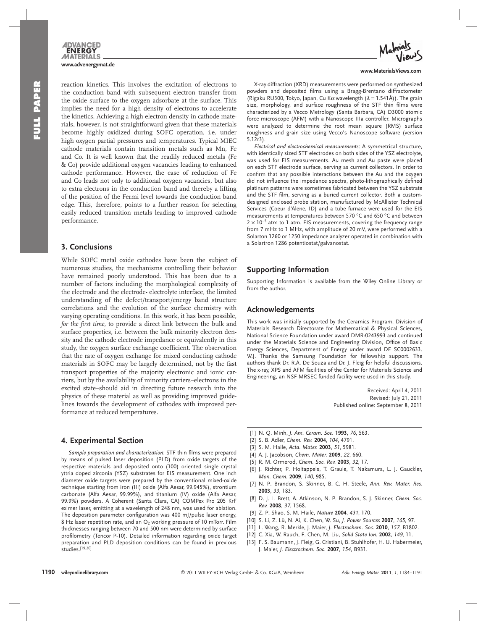

reaction kinetics. This involves the excitation of electrons to the conduction band with subsequent electron transfer from the oxide surface to the oxygen adsorbate at the surface. This implies the need for a high density of electrons to accelerate the kinetics. Achieving a high electron density in cathode materials, however, is not straightforward given that these materials become highly oxidized during SOFC operation, i.e. under high oxygen partial pressures and temperatures. Typical MIEC cathode materials contain transition metals such as Mn, Fe and Co. It is well known that the readily reduced metals (Fe & Co) provide additional oxygen vacancies leading to enhanced cathode performance. However, the ease of reduction of Fe and Co leads not only to additional oxygen vacancies, but also to extra electrons in the conduction band and thereby a lifting of the position of the Fermi level towards the conduction band edge. This, therefore, points to a further reason for selecting easily reduced transition metals leading to improved cathode performance.

# **3. Conclusions**

 While SOFC metal oxide cathodes have been the subject of numerous studies, the mechanisms controlling their behavior have remained poorly understood. This has been due to a number of factors including the morphological complexity of the electrode and the electrode- electrolyte interface, the limited understanding of the defect/transport/energy band structure correlations and the evolution of the surface chemistry with varying operating conditions. In this work, it has been possible, *for the first time*, to provide a direct link between the bulk and surface properties, i.e. between the bulk minority electron density and the cathode electrode impedance or equivalently in this study, the oxygen surface exchange coefficient. The observation that the rate of oxygen exchange for mixed conducting cathode materials in SOFC may be largely determined, not by the fast transport properties of the majority electronic and ionic carriers, but by the availability of minority carriers–electrons in the excited state–should aid in directing future research into the physics of these material as well as providing improved guidelines towards the development of cathodes with improved performance at reduced temperatures.

# **4. Experimental Section**

Sample preparation and characterization: STF thin films were prepared by means of pulsed laser deposition (PLD) from oxide targets of the respective materials and deposited onto (100) oriented single crystal yttria doped zirconia (YSZ) substrates for EIS measurement. One inch diameter oxide targets were prepared by the conventional mixed-oxide technique starting from iron (III) oxide (Alfa Aesar, 99.945%), strontium carbonate (Alfa Aesar, 99.99%), and titanium (IV) oxide (Alfa Aesar, 99.9%) powders. A Coherent (Santa Clara, CA) COMPex Pro 205 KrF eximer laser, emitting at a wavelength of 248 nm, was used for ablation. The deposition parameter configuration was 400 mJ/pulse laser energy, 8 Hz laser repetition rate, and an  $O_2$  working pressure of 10 mTorr. Film thicknesses ranging between 70 and 500 nm were determined by surface profilometry (Tencor P-10). Detailed information regarding oxide target preparation and PLD deposition conditions can be found in previous studies.[19,20]



#### **www.MaterialsViews.com**

 X-ray diffraction (XRD) measurements were performed on synthesized powders and deposited films using a Bragg-Brentano diffractometer (Rigaku RU300, Tokyo, Japan, Cu K $\alpha$  wavelength ( $\lambda$  = 1.541Å)). The grain size, morphology, and surface roughness of the STF thin films were characterized by a Vecco Metrology (Santa Barbara, CA) D3000 atomic force microscope (AFM) with a Nanoscope IIIa controller. Micrographs were analyzed to determine the root mean square (RMS) surface roughness and grain size using Vecco's Nanoscope software (version 5.12r3).

*Electrical and electrochemical measurements* : A symmetrical structure, with identically sized STF electrodes on both sides of the YSZ electrolyte, was used for EIS measurements. Au mesh and Au paste were placed on each STF electrode surface, serving as current collectors. In order to confirm that any possible interactions between the Au and the oxygen did not influence the impedance spectra, photo-lithographically defined platinum patterns were sometimes fabricated between the YSZ substrate and the STF film, serving as a buried current collector. Both a customdesigned enclosed probe station, manufactured by McAllister Technical Services (Coeur d'Alene, ID) and a tube furnace were used for the EIS measurements at temperatures between 570 °C and 650 °C and between  $2 \times 10^{-5}$  atm to 1 atm. EIS measurements, covering the frequency range from 7 mHz to 1 MHz, with amplitude of 20 mV, were performed with a Solarton 1260 or 1250 impedance analyzer operated in combination with a Solartron 1286 potentiostat/galvanostat.

# **Supporting Information**

 Supporting Information is available from the Wiley Online Library or from the author.

# **Acknowledgements**

 This work was initially supported by the Ceramics Program, Division of Materials Research Directorate for Mathematical & Physical Sciences, National Science Foundation under award DMR-0243993 and continued under the Materials Science and Engineering Division, Office of Basic Energy Sciences, Department of Energy under award DE SC0002633. W.J. Thanks the Samsung Foundation for fellowship support. The authors thank Dr. R.A. De Souza and Dr. J. Fleig for helpful discussions. The x-ray, XPS and AFM facilities of the Center for Materials Science and Engineering, an NSF MRSEC funded facility were used in this study.

> Received: April 4, 2011 Revised: July 21, 2011 Published online: September 8, 2011

- [ 1 ] N. Q. Minh , *J. Am. Ceram. Soc.* **1993** , *76* , 563 .
- [2] S. B. Adler, *Chem. Rev.* **2004**, *104*, 4791.
- [3] S. M. Haile, *Acta. Mater.* **2003**, 51, 5981.
- [4] A. J. Jacobson, *Chem. Mater.* **2009**, 22, 660.
- [5] R. M. Ormerod, *Chem. Soc. Rev.* **2003**, 32, 17.
- [6] J. Richter, P. Holtappels, T. Graule, T. Nakamura, L. J. Gauckler, *Mon. Chem.* **2009** , *140* , 985 .
- [7] N. P. Brandon, S. Skinner, B. C. H. Steele, *Ann. Rev. Mater. Res.* **2003** , *33* , 183 .
- [8] D. J. L. Brett, A. Atkinson, N. P. Brandon, S. J. Skinner, Chem. Soc. *Rev.* **2008** , *37* , 1568 .
- [9] Z. P. Shao, S. M. Haile, *Nature* 2004, 431, 170.
- [10] S. Li, Z. Lü, N. Ai, K. Chen, W. Su, J. Power Sources 2007, 165, 97.
- [11] L. Wang, R. Merkle, J. Maier, *J. Electrochem. Soc.* 2010, 157, B1802.
- [ 12 ] C. Xia , W. Rauch , F. Chen , M. Liu , *Solid State Ion.* **2002** , *149* , 11 .
- [13] F. S. Baumann, J. Fleig, G. Cristiani, B. Stuhlhofer, H. U. Habermeier, J. Maier , *J. Electrochem. Soc.* **2007** , *154* , B931 .